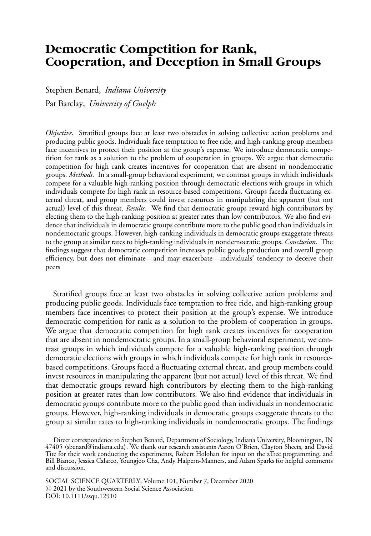# **Democratic Competition for Rank, Cooperation, and Deception in Small Groups**

Stephen Benard, *Indiana University* Pat Barclay, *University of Guelph*

*Objective.* Stratified groups face at least two obstacles in solving collective action problems and producing public goods. Individuals face temptation to free ride, and high-ranking group members face incentives to protect their position at the group's expense. We introduce democratic competition for rank as a solution to the problem of cooperation in groups. We argue that democratic competition for high rank creates incentives for cooperation that are absent in nondemocratic groups. *Methods.* In a small-group behavioral experiment, we contrast groups in which individuals compete for a valuable high-ranking position through democratic elections with groups in which individuals compete for high rank in resource-based competitions. Groups faceda fluctuating external threat, and group members could invest resources in manipulating the apparent (but not actual) level of this threat. *Results.* We find that democratic groups reward high contributors by electing them to the high-ranking position at greater rates than low contributors. We also find evidence that individuals in democratic groups contribute more to the public good than individuals in nondemocratic groups. However, high-ranking individuals in democratic groups exaggerate threats to the group at similar rates to high-ranking individuals in nondemocratic groups. *Conclusion.* The findings suggest that democratic competition increases public goods production and overall group efficiency, but does not eliminate—and may exacerbate—individuals' tendency to deceive their peers

Stratified groups face at least two obstacles in solving collective action problems and producing public goods. Individuals face temptation to free ride, and high-ranking group members face incentives to protect their position at the group's expense. We introduce democratic competition for rank as a solution to the problem of cooperation in groups. We argue that democratic competition for high rank creates incentives for cooperation that are absent in nondemocratic groups. In a small-group behavioral experiment, we contrast groups in which individuals compete for a valuable high-ranking position through democratic elections with groups in which individuals compete for high rank in resourcebased competitions. Groups faced a fluctuating external threat, and group members could invest resources in manipulating the apparent (but not actual) level of this threat. We find that democratic groups reward high contributors by electing them to the high-ranking position at greater rates than low contributors. We also find evidence that individuals in democratic groups contribute more to the public good than individuals in nondemocratic groups. However, high-ranking individuals in democratic groups exaggerate threats to the group at similar rates to high-ranking individuals in nondemocratic groups. The findings

Direct correspondence to Stephen Benard, Department of Sociology, Indiana University, Bloomington, IN 47405 (sbenard@indiana.edu). We thank our research assistants Aaron O'Brien, Clayton Sheets, and David<br>T Tite for their work conducting the experiments, Robert Holohan for input on the zTree programming, and Bill Bianco, Jessica Calarco, Youngjoo Cha, Andy Halpern-Manners, and Adam Sparks for helpful comments and discussion.

SOCIAL SCIENCE QUARTERLY, Volume 101, Number 7, December 2020 <sup>C</sup> 2021 by the Southwestern Social Science Association DOI: 10.1111/ssqu.12910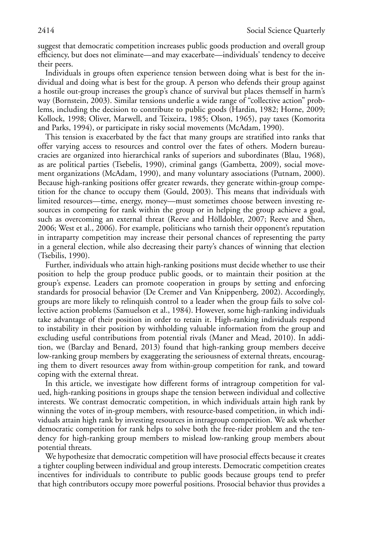suggest that democratic competition increases public goods production and overall group efficiency, but does not eliminate—and may exacerbate—individuals' tendency to deceive their peers.

Individuals in groups often experience tension between doing what is best for the individual and doing what is best for the group. A person who defends their group against a hostile out-group increases the group's chance of survival but places themself in harm's way (Bornstein, 2003). Similar tensions underlie a wide range of "collective action" problems, including the decision to contribute to public goods (Hardin, 1982; Horne, 2009; Kollock, 1998; Oliver, Marwell, and Teixeira, 1985; Olson, 1965), pay taxes (Komorita and Parks, 1994), or participate in risky social movements (McAdam, 1990).

This tension is exacerbated by the fact that many groups are stratified into ranks that offer varying access to resources and control over the fates of others. Modern bureaucracies are organized into hierarchical ranks of superiors and subordinates (Blau, 1968), as are political parties (Tsebelis, 1990), criminal gangs (Gambetta, 2009), social movement organizations (McAdam, 1990), and many voluntary associations (Putnam, 2000). Because high-ranking positions offer greater rewards, they generate within-group competition for the chance to occupy them (Gould, 2003). This means that individuals with limited resources—time, energy, money—must sometimes choose between investing resources in competing for rank within the group or in helping the group achieve a goal, such as overcoming an external threat (Reeve and Hölldobler, 2007; Reeve and Shen, 2006; West et al., 2006). For example, politicians who tarnish their opponent's reputation in intraparty competition may increase their personal chances of representing the party in a general election, while also decreasing their party's chances of winning that election (Tsebilis, 1990).

Further, individuals who attain high-ranking positions must decide whether to use their position to help the group produce public goods, or to maintain their position at the group's expense. Leaders can promote cooperation in groups by setting and enforcing standards for prosocial behavior (De Cremer and Van Knippenberg, 2002). Accordingly, groups are more likely to relinquish control to a leader when the group fails to solve collective action problems (Samuelson et al., 1984). However, some high-ranking individuals take advantage of their position in order to retain it. High-ranking individuals respond to instability in their position by withholding valuable information from the group and excluding useful contributions from potential rivals (Maner and Mead, 2010). In addition, we (Barclay and Benard, 2013) found that high-ranking group members deceive low-ranking group members by exaggerating the seriousness of external threats, encouraging them to divert resources away from within-group competition for rank, and toward coping with the external threat.

In this article, we investigate how different forms of intragroup competition for valued, high-ranking positions in groups shape the tension between individual and collective interests. We contrast democratic competition, in which individuals attain high rank by winning the votes of in-group members, with resource-based competition, in which individuals attain high rank by investing resources in intragroup competition. We ask whether democratic competition for rank helps to solve both the free-rider problem and the tendency for high-ranking group members to mislead low-ranking group members about potential threats.

We hypothesize that democratic competition will have prosocial effects because it creates a tighter coupling between individual and group interests. Democratic competition creates incentives for individuals to contribute to public goods because groups tend to prefer that high contributors occupy more powerful positions. Prosocial behavior thus provides a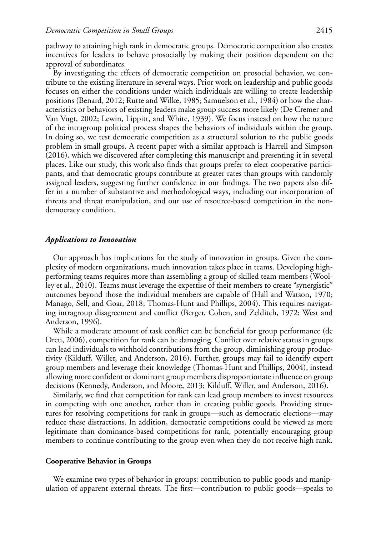pathway to attaining high rank in democratic groups. Democratic competition also creates incentives for leaders to behave prosocially by making their position dependent on the approval of subordinates.

By investigating the effects of democratic competition on prosocial behavior, we contribute to the existing literature in several ways. Prior work on leadership and public goods focuses on either the conditions under which individuals are willing to create leadership positions (Benard, 2012; Rutte and Wilke, 1985; Samuelson et al., 1984) or how the characteristics or behaviors of existing leaders make group success more likely (De Cremer and Van Vugt, 2002; Lewin, Lippitt, and White, 1939). We focus instead on how the nature of the intragroup political process shapes the behaviors of individuals within the group. In doing so, we test democratic competition as a structural solution to the public goods problem in small groups. A recent paper with a similar approach is Harrell and Simpson (2016), which we discovered after completing this manuscript and presenting it in several places. Like our study, this work also finds that groups prefer to elect cooperative participants, and that democratic groups contribute at greater rates than groups with randomly assigned leaders, suggesting further confidence in our findings. The two papers also differ in a number of substantive and methodological ways, including our incorporation of threats and threat manipulation, and our use of resource-based competition in the nondemocracy condition.

#### *Applications to Innovation*

Our approach has implications for the study of innovation in groups. Given the complexity of modern organizations, much innovation takes place in teams. Developing highperforming teams requires more than assembling a group of skilled team members (Woolley et al., 2010). Teams must leverage the expertise of their members to create "synergistic" outcomes beyond those the individual members are capable of (Hall and Watson, 1970; Manago, Sell, and Goar, 2018; Thomas-Hunt and Phillips, 2004). This requires navigating intragroup disagreement and conflict (Berger, Cohen, and Zelditch, 1972; West and Anderson, 1996).

While a moderate amount of task conflict can be beneficial for group performance (de Dreu, 2006), competition for rank can be damaging. Conflict over relative status in groups can lead individuals to withhold contributions from the group, diminishing group productivity (Kilduff, Willer, and Anderson, 2016). Further, groups may fail to identify expert group members and leverage their knowledge (Thomas-Hunt and Phillips, 2004), instead allowing more confident or dominant group members disproportionate influence on group decisions (Kennedy, Anderson, and Moore, 2013; Kilduff, Willer, and Anderson, 2016).

Similarly, we find that competition for rank can lead group members to invest resources in competing with one another, rather than in creating public goods. Providing structures for resolving competitions for rank in groups—such as democratic elections—may reduce these distractions. In addition, democratic competitions could be viewed as more legitimate than dominance-based competitions for rank, potentially encouraging group members to continue contributing to the group even when they do not receive high rank.

#### **Cooperative Behavior in Groups**

We examine two types of behavior in groups: contribution to public goods and manipulation of apparent external threats. The first—contribution to public goods—speaks to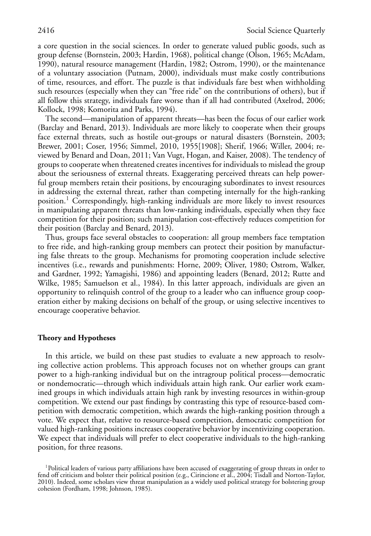a core question in the social sciences. In order to generate valued public goods, such as group defense (Bornstein, 2003; Hardin, 1968), political change (Olson, 1965; McAdam, 1990), natural resource management (Hardin, 1982; Ostrom, 1990), or the maintenance of a voluntary association (Putnam, 2000), individuals must make costly contributions of time, resources, and effort. The puzzle is that individuals fare best when withholding such resources (especially when they can "free ride" on the contributions of others), but if all follow this strategy, individuals fare worse than if all had contributed (Axelrod, 2006; Kollock, 1998; Komorita and Parks, 1994).

The second—manipulation of apparent threats—has been the focus of our earlier work (Barclay and Benard, 2013). Individuals are more likely to cooperate when their groups face external threats, such as hostile out-groups or natural disasters (Bornstein, 2003; Brewer, 2001; Coser, 1956; Simmel, 2010, 1955[1908]; Sherif, 1966; Willer, 2004; reviewed by Benard and Doan, 2011; Van Vugt, Hogan, and Kaiser, 2008). The tendency of groups to cooperate when threatened creates incentives for individuals to mislead the group about the seriousness of external threats. Exaggerating perceived threats can help powerful group members retain their positions, by encouraging subordinates to invest resources in addressing the external threat, rather than competing internally for the high-ranking position.<sup>1</sup> Correspondingly, high-ranking individuals are more likely to invest resources in manipulating apparent threats than low-ranking individuals, especially when they face competition for their position; such manipulation cost-effectively reduces competition for their position (Barclay and Benard, 2013).

Thus, groups face several obstacles to cooperation: all group members face temptation to free ride, and high-ranking group members can protect their position by manufacturing false threats to the group. Mechanisms for promoting cooperation include selective incentives (i.e., rewards and punishments: Horne, 2009; Oliver, 1980; Ostrom, Walker, and Gardner, 1992; Yamagishi, 1986) and appointing leaders (Benard, 2012; Rutte and Wilke, 1985; Samuelson et al., 1984). In this latter approach, individuals are given an opportunity to relinquish control of the group to a leader who can influence group cooperation either by making decisions on behalf of the group, or using selective incentives to encourage cooperative behavior.

## **Theory and Hypotheses**

In this article, we build on these past studies to evaluate a new approach to resolving collective action problems. This approach focuses not on whether groups can grant power to a high-ranking individual but on the intragroup political process—democratic or nondemocratic—through which individuals attain high rank. Our earlier work examined groups in which individuals attain high rank by investing resources in within-group competition. We extend our past findings by contrasting this type of resource-based competition with democratic competition, which awards the high-ranking position through a vote. We expect that, relative to resource-based competition, democratic competition for valued high-ranking positions increases cooperative behavior by incentivizing cooperation. We expect that individuals will prefer to elect cooperative individuals to the high-ranking position, for three reasons.

<sup>&</sup>lt;sup>1</sup>Political leaders of various party affiliations have been accused of exaggerating of group threats in order to fend off criticism and bolster their political position (e.g., Cirincione et al., 2004; Tisdall and Norton-Taylor, 2010). Indeed, some scholars view threat manipulation as a widely used political strategy for bolstering group cohesion (Fordham, 1998; Johnson, 1985).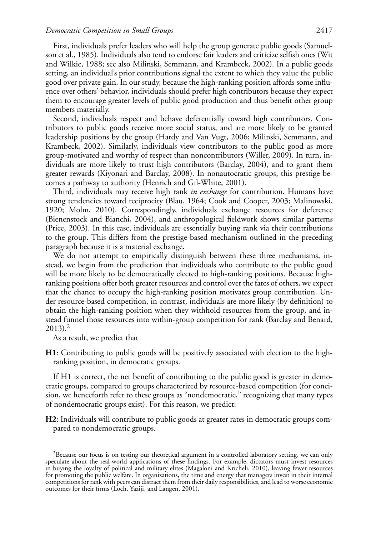First, individuals prefer leaders who will help the group generate public goods (Samuelson et al., 1985). Individuals also tend to endorse fair leaders and criticize selfish ones (Wit and Wilkie, 1988; see also Milinski, Semmann, and Krambeck, 2002). In a public goods setting, an individual's prior contributions signal the extent to which they value the public good over private gain. In our study, because the high-ranking position affords some influence over others' behavior, individuals should prefer high contributors because they expect them to encourage greater levels of public good production and thus benefit other group members materially.

Second, individuals respect and behave deferentially toward high contributors. Contributors to public goods receive more social status, and are more likely to be granted leadership positions by the group (Hardy and Van Vugt, 2006; Milinski, Semmann, and Krambeck, 2002). Similarly, individuals view contributors to the public good as more group-motivated and worthy of respect than noncontributors (Willer, 2009). In turn, individuals are more likely to trust high contributors (Barclay, 2004), and to grant them greater rewards (Kiyonari and Barclay, 2008). In nonautocratic groups, this prestige becomes a pathway to authority (Henrich and Gil-White, 2001).

Third, individuals may receive high rank *in exchange* for contribution. Humans have strong tendencies toward reciprocity (Blau, 1964; Cook and Cooper, 2003; Malinowski, 1920; Molm, 2010). Correspondingly, individuals exchange resources for deference (Bienenstock and Bianchi, 2004), and anthropological fieldwork shows similar patterns (Price, 2003). In this case, individuals are essentially buying rank via their contributions to the group. This differs from the prestige-based mechanism outlined in the preceding paragraph because it is a material exchange.

We do not attempt to empirically distinguish between these three mechanisms, instead, we begin from the prediction that individuals who contribute to the public good will be more likely to be democratically elected to high-ranking positions. Because highranking positions offer both greater resources and control over the fates of others, we expect that the chance to occupy the high-ranking position motivates group contribution. Under resource-based competition, in contrast, individuals are more likely (by definition) to obtain the high-ranking position when they withhold resources from the group, and instead funnel those resources into within-group competition for rank (Barclay and Benard,  $2013$ )<sup>2</sup>

As a result, we predict that

**H1**: Contributing to public goods will be positively associated with election to the highranking position, in democratic groups.

If H1 is correct, the net benefit of contributing to the public good is greater in democratic groups, compared to groups characterized by resource-based competition (for concision, we henceforth refer to these groups as "nondemocratic," recognizing that many types of nondemocratic groups exist). For this reason, we predict:

**H2**: Individuals will contribute to public goods at greater rates in democratic groups compared to nondemocratic groups.

<sup>2</sup>Because our focus is on testing our theoretical argument in a controlled laboratory setting, we can only speculate about the real-world applications of these findings. For example, dictators must invest resources in buying the loyalty of political and military elites (Magaloni and Kricheli, 2010), leaving fewer resources for promoting the public welfare. In organizations, the time and energy that managers invest in their internal competitions for rank with peers can distract them from their daily responsibilities, and lead to worse economic outcomes for their firms (Loch, Yaziji, and Langen, 2001).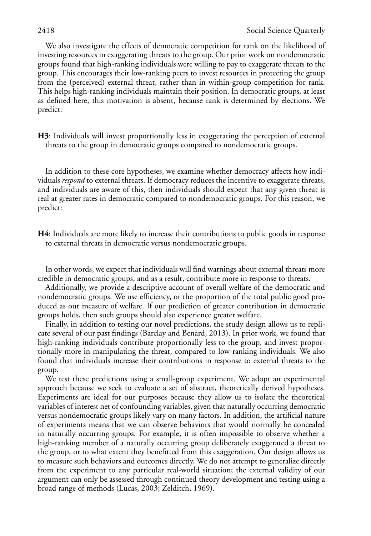We also investigate the effects of democratic competition for rank on the likelihood of investing resources in exaggerating threats to the group. Our prior work on nondemocratic groups found that high-ranking individuals were willing to pay to exaggerate threats to the group. This encourages their low-ranking peers to invest resources in protecting the group from the (perceived) external threat, rather than in within-group competition for rank. This helps high-ranking individuals maintain their position. In democratic groups, at least as defined here, this motivation is absent, because rank is determined by elections. We predict:

**H3**: Individuals will invest proportionally less in exaggerating the perception of external threats to the group in democratic groups compared to nondemocratic groups.

In addition to these core hypotheses, we examine whether democracy affects how individuals *respond* to external threats. If democracy reduces the incentive to exaggerate threats, and individuals are aware of this, then individuals should expect that any given threat is real at greater rates in democratic compared to nondemocratic groups. For this reason, we predict:

**H4**: Individuals are more likely to increase their contributions to public goods in response to external threats in democratic versus nondemocratic groups.

In other words, we expect that individuals will find warnings about external threats more credible in democratic groups, and as a result, contribute more in response to threats.

Additionally, we provide a descriptive account of overall welfare of the democratic and nondemocratic groups. We use efficiency, or the proportion of the total public good produced as our measure of welfare. If our prediction of greater contribution in democratic groups holds, then such groups should also experience greater welfare.

Finally, in addition to testing our novel predictions, the study design allows us to replicate several of our past findings (Barclay and Benard, 2013). In prior work, we found that high-ranking individuals contribute proportionally less to the group, and invest proportionally more in manipulating the threat, compared to low-ranking individuals. We also found that individuals increase their contributions in response to external threats to the group.

We test these predictions using a small-group experiment. We adopt an experimental approach because we seek to evaluate a set of abstract, theoretically derived hypotheses. Experiments are ideal for our purposes because they allow us to isolate the theoretical variables of interest net of confounding variables, given that naturally occurring democratic versus nondemocratic groups likely vary on many factors. In addition, the artificial nature of experiments means that we can observe behaviors that would normally be concealed in naturally occurring groups. For example, it is often impossible to observe whether a high-ranking member of a naturally occurring group deliberately exaggerated a threat to the group, or to what extent they benefitted from this exaggeration. Our design allows us to measure such behaviors and outcomes directly. We do not attempt to generalize directly from the experiment to any particular real-world situation; the external validity of our argument can only be assessed through continued theory development and testing using a broad range of methods (Lucas, 2003; Zelditch, 1969).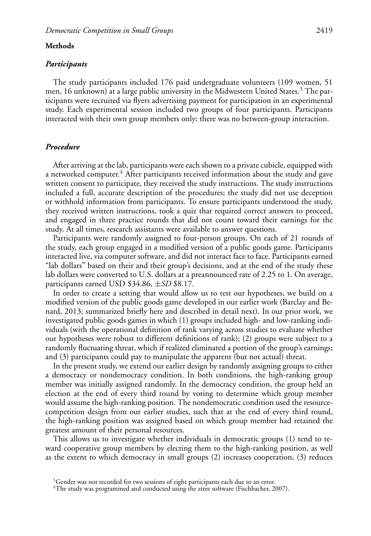#### **Methods**

#### *Participants*

The study participants included 176 paid undergraduate volunteers (109 women, 51 men, 16 unknown) at a large public university in the Midwestern United States.<sup>3</sup> The participants were recruited via flyers advertising payment for participation in an experimental study. Each experimental session included two groups of four participants. Participants interacted with their own group members only; there was no between-group interaction.

## *Procedure*

After arriving at the lab, participants were each shown to a private cubicle, equipped with a networked computer.<sup>4</sup> After participants received information about the study and gave written consent to participate, they received the study instructions. The study instructions included a full, accurate description of the procedures; the study did not use deception or withhold information from participants. To ensure participants understood the study, they received written instructions, took a quiz that required correct answers to proceed, and engaged in three practice rounds that did not count toward their earnings for the study. At all times, research assistants were available to answer questions.

Participants were randomly assigned to four-person groups. On each of 21 rounds of the study, each group engaged in a modified version of a public goods game. Participants interacted live, via computer software, and did not interact face to face. Participants earned "lab dollars" based on their and their group's decisions, and at the end of the study these lab dollars were converted to U.S. dollars at a preannounced rate of 2.25 to 1. On average, participants earned USD \$34.86, ±*SD* \$8.17.

In order to create a setting that would allow us to test our hypotheses, we build on a modified version of the public goods game developed in our earlier work (Barclay and Benard, 2013; summarized briefly here and described in detail next). In our prior work, we investigated public goods games in which (1) groups included high- and low-ranking individuals (with the operational definition of rank varying across studies to evaluate whether our hypotheses were robust to different definitions of rank); (2) groups were subject to a randomly fluctuating threat, which if realized eliminated a portion of the group's earnings; and (3) participants could pay to manipulate the apparent (but not actual) threat.

In the present study, we extend our earlier design by randomly assigning groups to either a democracy or nondemocracy condition. In both conditions, the high-ranking group member was initially assigned randomly. In the democracy condition, the group held an election at the end of every third round by voting to determine which group member would assume the high-ranking position. The nondemocratic condition used the resourcecompetition design from our earlier studies, such that at the end of every third round, the high-ranking position was assigned based on which group member had retained the greatest amount of their personal resources.

This allows us to investigate whether individuals in democratic groups (1) tend to reward cooperative group members by electing them to the high-ranking position, as well as the extent to which democracy in small groups (2) increases cooperation, (3) reduces

 $3$ Gender was not recorded for two sessions of eight participants each due to an error.

 $4$ The study was programmed and conducted using the ztree software (Fischbacher, 2007).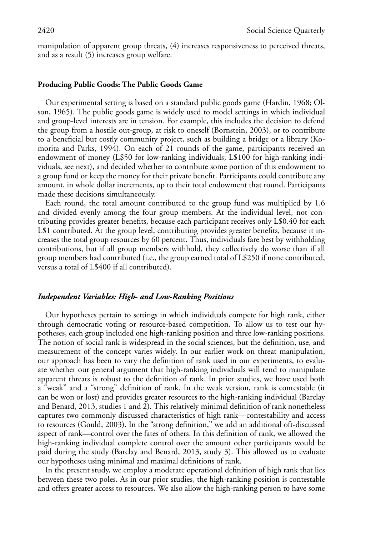manipulation of apparent group threats, (4) increases responsiveness to perceived threats, and as a result (5) increases group welfare.

### **Producing Public Goods: The Public Goods Game**

Our experimental setting is based on a standard public goods game (Hardin, 1968; Olson, 1965). The public goods game is widely used to model settings in which individual and group-level interests are in tension. For example, this includes the decision to defend the group from a hostile out-group, at risk to oneself (Bornstein, 2003), or to contribute to a beneficial but costly community project, such as building a bridge or a library (Komorita and Parks, 1994). On each of 21 rounds of the game, participants received an endowment of money (L\$50 for low-ranking individuals; L\$100 for high-ranking individuals, see next), and decided whether to contribute some portion of this endowment to a group fund or keep the money for their private benefit. Participants could contribute any amount, in whole dollar increments, up to their total endowment that round. Participants made these decisions simultaneously.

Each round, the total amount contributed to the group fund was multiplied by 1.6 and divided evenly among the four group members. At the individual level, not contributing provides greater benefits, because each participant receives only L\$0.40 for each L\$1 contributed. At the group level, contributing provides greater benefits, because it increases the total group resources by 60 percent. Thus, individuals fare best by withholding contributions, but if all group members withhold, they collectively do worse than if all group members had contributed (i.e., the group earned total of L\$250 if none contributed, versus a total of L\$400 if all contributed).

#### *Independent Variables: High- and Low-Ranking Positions*

Our hypotheses pertain to settings in which individuals compete for high rank, either through democratic voting or resource-based competition. To allow us to test our hypotheses, each group included one high-ranking position and three low-ranking positions. The notion of social rank is widespread in the social sciences, but the definition, use, and measurement of the concept varies widely. In our earlier work on threat manipulation, our approach has been to vary the definition of rank used in our experiments, to evaluate whether our general argument that high-ranking individuals will tend to manipulate apparent threats is robust to the definition of rank. In prior studies, we have used both a "weak" and a "strong" definition of rank. In the weak version, rank is contestable (it can be won or lost) and provides greater resources to the high-ranking individual (Barclay and Benard, 2013, studies 1 and 2). This relatively minimal definition of rank nonetheless captures two commonly discussed characteristics of high rank—contestability and access to resources (Gould, 2003). In the "strong definition," we add an additional oft-discussed aspect of rank—control over the fates of others. In this definition of rank, we allowed the high-ranking individual complete control over the amount other participants would be paid during the study (Barclay and Benard, 2013, study 3). This allowed us to evaluate our hypotheses using minimal and maximal definitions of rank.

In the present study, we employ a moderate operational definition of high rank that lies between these two poles. As in our prior studies, the high-ranking position is contestable and offers greater access to resources. We also allow the high-ranking person to have some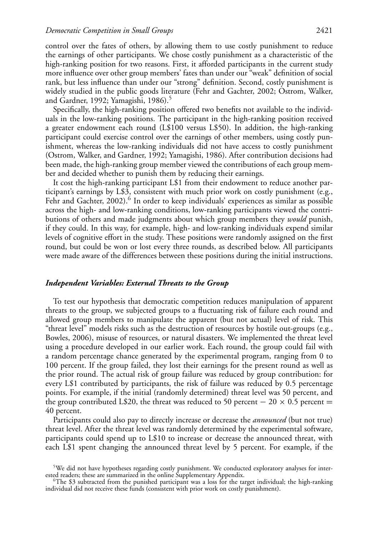control over the fates of others, by allowing them to use costly punishment to reduce the earnings of other participants. We chose costly punishment as a characteristic of the high-ranking position for two reasons. First, it afforded participants in the current study more influence over other group members' fates than under our "weak" definition of social rank, but less influence than under our "strong" definition. Second, costly punishment is widely studied in the public goods literature (Fehr and Gachter, 2002; Ostrom, Walker, and Gardner, 1992; Yamagishi, 1986). $\frac{5}{5}$ 

Specifically, the high-ranking position offered two benefits not available to the individuals in the low-ranking positions. The participant in the high-ranking position received a greater endowment each round (L\$100 versus L\$50). In addition, the high-ranking participant could exercise control over the earnings of other members, using costly punishment, whereas the low-ranking individuals did not have access to costly punishment (Ostrom, Walker, and Gardner, 1992; Yamagishi, 1986). After contribution decisions had been made, the high-ranking group member viewed the contributions of each group member and decided whether to punish them by reducing their earnings.

It cost the high-ranking participant L\$1 from their endowment to reduce another participant's earnings by L\$3, consistent with much prior work on costly punishment (e.g., Fehr and Gachter,  $2002$ ).<sup>6</sup> In order to keep individuals' experiences as similar as possible across the high- and low-ranking conditions, low-ranking participants viewed the contributions of others and made judgments about which group members they *would* punish, if they could. In this way, for example, high- and low-ranking individuals expend similar levels of cognitive effort in the study. These positions were randomly assigned on the first round, but could be won or lost every three rounds, as described below. All participants were made aware of the differences between these positions during the initial instructions.

## *Independent Variables: External Threats to the Group*

To test our hypothesis that democratic competition reduces manipulation of apparent threats to the group, we subjected groups to a fluctuating risk of failure each round and allowed group members to manipulate the apparent (but not actual) level of risk. This "threat level" models risks such as the destruction of resources by hostile out-groups (e.g., Bowles, 2006), misuse of resources, or natural disasters. We implemented the threat level using a procedure developed in our earlier work. Each round, the group could fail with a random percentage chance generated by the experimental program, ranging from 0 to 100 percent. If the group failed, they lost their earnings for the present round as well as the prior round. The actual risk of group failure was reduced by group contribution: for every L\$1 contributed by participants, the risk of failure was reduced by 0.5 percentage points. For example, if the initial (randomly determined) threat level was 50 percent, and the group contributed L\$20, the threat was reduced to 50 percent  $- 20 \times 0.5$  percent  $=$ 40 percent.

Participants could also pay to directly increase or decrease the *announced* (but not true) threat level. After the threat level was randomly determined by the experimental software, participants could spend up to L\$10 to increase or decrease the announced threat, with each L\$1 spent changing the announced threat level by 5 percent. For example, if the

 $5W$ e did not have hypotheses regarding costly punishment. We conducted exploratory analyses for inter-<br>ested readers; these are summarized in the online Supplementary Appendix.

<sup>&</sup>lt;sup>6</sup>The \$3 subtracted from the punished participant was a loss for the target individual; the high-ranking individual did not receive these funds (consistent with prior work on costly punishment).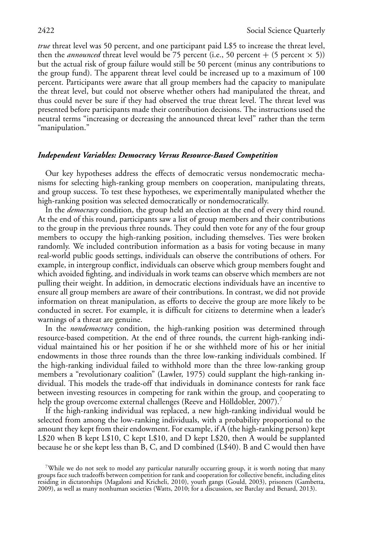*true* threat level was 50 percent, and one participant paid L\$5 to increase the threat level, then the *announced* threat level would be 75 percent (i.e., 50 percent + (5 percent  $\times$  5)) but the actual risk of group failure would still be 50 percent (minus any contributions to the group fund). The apparent threat level could be increased up to a maximum of 100 percent. Participants were aware that all group members had the capacity to manipulate the threat level, but could not observe whether others had manipulated the threat, and thus could never be sure if they had observed the true threat level. The threat level was presented before participants made their contribution decisions. The instructions used the neutral terms "increasing or decreasing the announced threat level" rather than the term "manipulation."

#### *Independent Variables: Democracy Versus Resource-Based Competition*

Our key hypotheses address the effects of democratic versus nondemocratic mechanisms for selecting high-ranking group members on cooperation, manipulating threats, and group success. To test these hypotheses, we experimentally manipulated whether the high-ranking position was selected democratically or nondemocratically.

In the *democracy* condition, the group held an election at the end of every third round. At the end of this round, participants saw a list of group members and their contributions to the group in the previous three rounds. They could then vote for any of the four group members to occupy the high-ranking position, including themselves. Ties were broken randomly. We included contribution information as a basis for voting because in many real-world public goods settings, individuals can observe the contributions of others. For example, in intergroup conflict, individuals can observe which group members fought and which avoided fighting, and individuals in work teams can observe which members are not pulling their weight. In addition, in democratic elections individuals have an incentive to ensure all group members are aware of their contributions. In contrast, we did not provide information on threat manipulation, as efforts to deceive the group are more likely to be conducted in secret. For example, it is difficult for citizens to determine when a leader's warnings of a threat are genuine.

In the *nondemocracy* condition, the high-ranking position was determined through resource-based competition. At the end of three rounds, the current high-ranking individual maintained his or her position if he or she withheld more of his or her initial endowments in those three rounds than the three low-ranking individuals combined. If the high-ranking individual failed to withhold more than the three low-ranking group members a "revolutionary coalition" (Lawler, 1975) could supplant the high-ranking individual. This models the trade-off that individuals in dominance contests for rank face between investing resources in competing for rank within the group, and cooperating to help the group overcome external challenges (Reeve and Hölldobler, 2007).<sup>7</sup>

If the high-ranking individual was replaced, a new high-ranking individual would be selected from among the low-ranking individuals, with a probability proportional to the amount they kept from their endowment. For example, if A (the high-ranking person) kept L\$20 when B kept L\$10, C kept L\$10, and D kept L\$20, then A would be supplanted because he or she kept less than B, C, and D combined (L\$40). B and C would then have

 $^{7}$ While we do not seek to model any particular naturally occurring group, it is worth noting that many groups face such tradeoffs between competition for rank and cooperation for collective benefit, including elites residing in dictatorships (Magaloni and Kricheli, 2010), youth gangs (Gould, 2003), prisoners (Gambetta, 2009), as well as many nonhuman societies (Watts, 2010; for a discussion, see Barclay and Benard, 2013).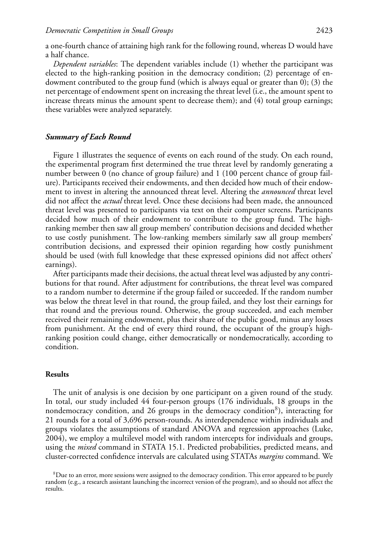a one-fourth chance of attaining high rank for the following round, whereas D would have a half chance.

*Dependent variables*: The dependent variables include (1) whether the participant was elected to the high-ranking position in the democracy condition; (2) percentage of endowment contributed to the group fund (which is always equal or greater than 0); (3) the net percentage of endowment spent on increasing the threat level (i.e., the amount spent to increase threats minus the amount spent to decrease them); and (4) total group earnings; these variables were analyzed separately.

## *Summary of Each Round*

Figure 1 illustrates the sequence of events on each round of the study. On each round, the experimental program first determined the true threat level by randomly generating a number between 0 (no chance of group failure) and 1 (100 percent chance of group failure). Participants received their endowments, and then decided how much of their endowment to invest in altering the announced threat level. Altering the *announced* threat level did not affect the *actual* threat level. Once these decisions had been made, the announced threat level was presented to participants via text on their computer screens. Participants decided how much of their endowment to contribute to the group fund. The highranking member then saw all group members' contribution decisions and decided whether to use costly punishment. The low-ranking members similarly saw all group members' contribution decisions, and expressed their opinion regarding how costly punishment should be used (with full knowledge that these expressed opinions did not affect others' earnings).

After participants made their decisions, the actual threat level was adjusted by any contributions for that round. After adjustment for contributions, the threat level was compared to a random number to determine if the group failed or succeeded. If the random number was below the threat level in that round, the group failed, and they lost their earnings for that round and the previous round. Otherwise, the group succeeded, and each member received their remaining endowment, plus their share of the public good, minus any losses from punishment. At the end of every third round, the occupant of the group's highranking position could change, either democratically or nondemocratically, according to condition.

#### **Results**

The unit of analysis is one decision by one participant on a given round of the study. In total, our study included 44 four-person groups (176 individuals, 18 groups in the nondemocracy condition, and 26 groups in the democracy condition<sup>8</sup>), interacting for 21 rounds for a total of 3,696 person-rounds. As interdependence within individuals and groups violates the assumptions of standard ANOVA and regression approaches (Luke, 2004), we employ a multilevel model with random intercepts for individuals and groups, using the *mixed* command in STATA 15.1. Predicted probabilities, predicted means, and cluster-corrected confidence intervals are calculated using STATAs *margins* command. We

 ${}^{8}$ Due to an error, more sessions were assigned to the democracy condition. This error appeared to be purely random (e.g., a research assistant launching the incorrect version of the program), and so should not affect the results.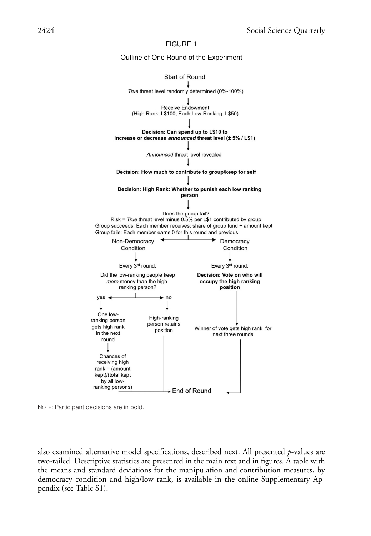



also examined alternative model specifications, described next. All presented *p*-values are two-tailed. Descriptive statistics are presented in the main text and in figures. A table with the means and standard deviations for the manipulation and contribution measures, by democracy condition and high/low rank, is available in the online Supplementary Appendix (see Table S1).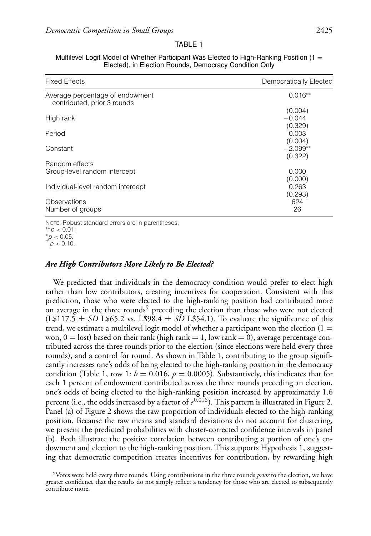#### TABLE 1

| <b>Fixed Effects</b>                                           | Democratically Elected      |
|----------------------------------------------------------------|-----------------------------|
| Average percentage of endowment<br>contributed, prior 3 rounds | $0.016**$                   |
| High rank                                                      | (0.004)<br>$-0.044$         |
| Period                                                         | (0.329)<br>0.003<br>(0.004) |
| Constant                                                       | $-2.099**$<br>(0.322)       |
| Random effects<br>Group-level random intercept                 | 0.000<br>(0.000)            |
| Individual-level random intercept                              | 0.263<br>(0.293)            |
| Observations<br>Number of groups                               | 624<br>26                   |

| Multilevel Logit Model of Whether Participant Was Elected to High-Ranking Position (1 $=$ |
|-------------------------------------------------------------------------------------------|
| Elected), in Election Rounds, Democracy Condition Only                                    |

NOTE: Robust standard errors are in parentheses; ∗∗*p <* 0.01;

 $*^p p < 0.05;$ <br> $p < 0.10.$ 

### *Are High Contributors More Likely to Be Elected?*

We predicted that individuals in the democracy condition would prefer to elect high rather than low contributors, creating incentives for cooperation. Consistent with this prediction, those who were elected to the high-ranking position had contributed more on average in the three rounds<sup>9</sup> preceding the election than those who were not elected  $(L$117.5 \pm SD L$65.2 vs. L$98.4 \pm SD L$54.1$ ). To evaluate the significance of this trend, we estimate a multilevel logit model of whether a participant won the election  $(1 =$ won,  $0 =$  lost) based on their rank (high rank  $= 1$ , low rank  $= 0$ ), average percentage contributed across the three rounds prior to the election (since elections were held every three rounds), and a control for round. As shown in Table 1, contributing to the group significantly increases one's odds of being elected to the high-ranking position in the democracy condition (Table 1, row 1:  $b = 0.016$ ,  $p = 0.0005$ ). Substantively, this indicates that for each 1 percent of endowment contributed across the three rounds preceding an election, one's odds of being elected to the high-ranking position increased by approximately 1.6 percent (i.e., the odds increased by a factor of  $e^{0.016}$ ). This pattern is illustrated in Figure 2. Panel (a) of Figure 2 shows the raw proportion of individuals elected to the high-ranking position. Because the raw means and standard deviations do not account for clustering, we present the predicted probabilities with cluster-corrected confidence intervals in panel (b). Both illustrate the positive correlation between contributing a portion of one's endowment and election to the high-ranking position. This supports Hypothesis 1, suggesting that democratic competition creates incentives for contribution, by rewarding high

<sup>9</sup>Votes were held every three rounds. Using contributions in the three rounds *prior* to the election, we have greater confidence that the results do not simply reflect a tendency for those who are elected to subsequently contribute more.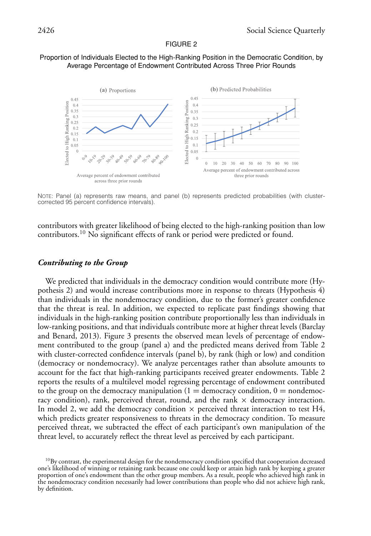## Proportion of Individuals Elected to the High-Ranking Position in the Democratic Condition, by Average Percentage of Endowment Contributed Across Three Prior Rounds



NOTE: Panel (a) represents raw means, and panel (b) represents predicted probabilities (with clustercorrected 95 percent confidence intervals).

contributors with greater likelihood of being elected to the high-ranking position than low contributors.10 No significant effects of rank or period were predicted or found.

## *Contributing to the Group*

We predicted that individuals in the democracy condition would contribute more (Hypothesis 2) and would increase contributions more in response to threats (Hypothesis 4) than individuals in the nondemocracy condition, due to the former's greater confidence that the threat is real. In addition, we expected to replicate past findings showing that individuals in the high-ranking position contribute proportionally less than individuals in low-ranking positions, and that individuals contribute more at higher threat levels (Barclay and Benard, 2013). Figure 3 presents the observed mean levels of percentage of endowment contributed to the group (panel a) and the predicted means derived from Table 2 with cluster-corrected confidence intervals (panel b), by rank (high or low) and condition (democracy or nondemocracy). We analyze percentages rather than absolute amounts to account for the fact that high-ranking participants received greater endowments. Table 2 reports the results of a multilevel model regressing percentage of endowment contributed to the group on the democracy manipulation  $(1 =$  democracy condition,  $0 =$  nondemocracy condition), rank, perceived threat, round, and the rank  $\times$  democracy interaction. In model 2, we add the democracy condition  $\times$  perceived threat interaction to test H4, which predicts greater responsiveness to threats in the democracy condition. To measure perceived threat, we subtracted the effect of each participant's own manipulation of the threat level, to accurately reflect the threat level as perceived by each participant.

 $^{10}$ By contrast, the experimental design for the nondemocracy condition specified that cooperation decreased one's likelihood of winning or retaining rank because one could keep or attain high rank by keeping a greater proportion of one's endowment than the other group members. As a result, people who achieved high rank in the nondemocracy condition necessarily had lower contributions than people who did not achieve high rank, by definition.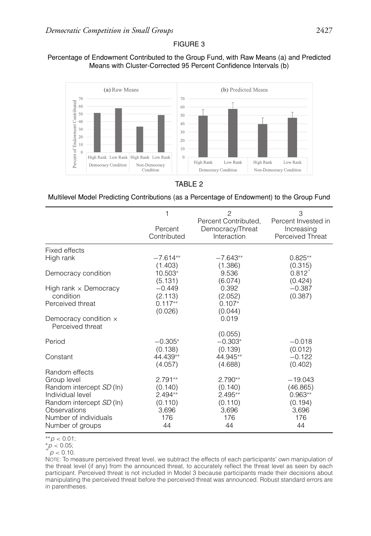## Percentage of Endowment Contributed to the Group Fund, with Raw Means (a) and Predicted Means with Cluster-Corrected 95 Percent Confidence Intervals (b)



## TABLE 2

## Multilevel Model Predicting Contributions (as a Percentage of Endowment) to the Group Fund

|                                                  | 1                      | $\overline{c}$<br>Percent Contributed, | 3<br>Percent Invested in       |
|--------------------------------------------------|------------------------|----------------------------------------|--------------------------------|
|                                                  | Percent<br>Contributed | Democracy/Threat<br>Interaction        | Increasing<br>Perceived Threat |
| Fixed effects                                    |                        |                                        |                                |
| High rank                                        | $-7.614**$<br>(1.403)  | $-7.643**$<br>(1.386)                  | $0.825**$<br>(0.315)           |
| Democracy condition                              | 10.503*<br>(5.131)     | 9.536<br>(6.074)                       | $0.812^{+}$<br>(0.424)         |
| High rank $\times$ Democracy                     | $-0.449$               | 0.392                                  | $-0.387$                       |
| condition                                        | (2.113)                | (2.052)                                | (0.387)                        |
| Perceived threat                                 | $0.117**$              | $0.107*$                               |                                |
| Democracy condition $\times$<br>Perceived threat | (0.026)                | (0.044)<br>0.019                       |                                |
|                                                  |                        | (0.055)                                |                                |
| Period                                           | $-0.305*$<br>(0.138)   | $-0.303*$<br>(0.139)                   | $-0.018$<br>(0.012)            |
| Constant                                         | 44.439**<br>(4.057)    | 44.945**<br>(4.688)                    | $-0.122$<br>(0.402)            |
| Random effects<br>Group level                    | $2.791**$              | $2.790**$                              | $-19.043$                      |
| Random intercept SD (In)<br>Individual level     | (0.140)<br>$2.494**$   | (0.140)<br>$2.495**$                   | (46.865)<br>$0.963**$          |
| Random intercept SD (In)<br>Observations         | (0.110)<br>3,696       | (0.110)<br>3,696                       | (0.194)<br>3,696               |
| Number of individuals                            | 176                    | 176                                    | 176                            |
| Number of groups                                 | 44                     | 44                                     | 44                             |



 $p < 0.10$ .

NOTE: To measure perceived threat level, we subtract the effects of each participants' own manipulation of the threat level (if any) from the announced threat, to accurately reflect the threat level as seen by each participant. Perceived threat is not included in Model 3 because participants made their decisions about manipulating the perceived threat before the perceived threat was announced. Robust standard errors are in parentheses.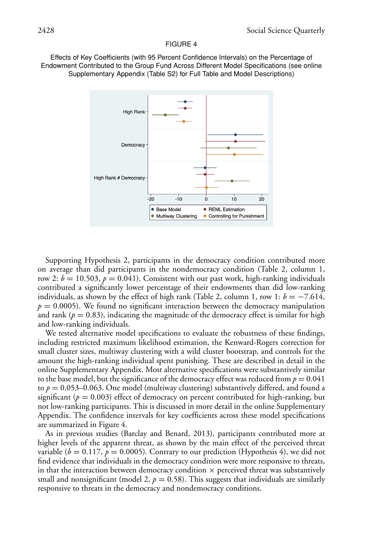Effects of Key Coefficients (with 95 Percent Confidence Intervals) on the Percentage of Endowment Contributed to the Group Fund Across Different Model Specifications (see online Supplementary Appendix (Table S2) for Full Table and Model Descriptions)



Supporting Hypothesis 2, participants in the democracy condition contributed more on average than did participants in the nondemocracy condition (Table 2, column 1, row 2:  $b = 10.503$ ,  $p = 0.041$ ). Consistent with our past work, high-ranking individuals contributed a significantly lower percentage of their endowments than did low-ranking individuals, as shown by the effect of high rank (Table 2, column 1, row 1:  $b = -7.614$ ,  $p = 0.0005$ . We found no significant interaction between the democracy manipulation and rank ( $p = 0.83$ ), indicating the magnitude of the democracy effect is similar for high and low-ranking individuals.

We tested alternative model specifications to evaluate the robustness of these findings, including restricted maximum likelihood estimation, the Kenward-Rogers correction for small cluster sizes, multiway clustering with a wild cluster bootstrap, and controls for the amount the high-ranking individual spent punishing. These are described in detail in the online Supplementary Appendix. Most alternative specifications were substantively similar to the base model, but the significance of the democracy effect was reduced from  $p = 0.041$ to *p* = 0.053–0.063. One model (multiway clustering) substantively differed, and found a significant ( $p = 0.003$ ) effect of democracy on percent contributed for high-ranking, but not low-ranking participants. This is discussed in more detail in the online Supplementary Appendix. The confidence intervals for key coefficients across these model specifications are summarized in Figure 4.

As in previous studies (Barclay and Benard, 2013), participants contributed more at higher levels of the apparent threat, as shown by the main effect of the perceived threat variable ( $b = 0.117$ ,  $p = 0.0005$ ). Contrary to our prediction (Hypothesis 4), we did not find evidence that individuals in the democracy condition were more responsive to threats, in that the interaction between democracy condition  $\times$  perceived threat was substantively small and nonsignificant (model 2,  $p = 0.58$ ). This suggests that individuals are similarly responsive to threats in the democracy and nondemocracy conditions.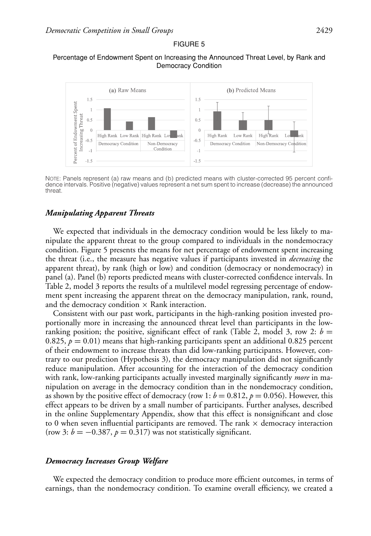## Percentage of Endowment Spent on Increasing the Announced Threat Level, by Rank and Democracy Condition



NOTE: Panels represent (a) raw means and (b) predicted means with cluster-corrected 95 percent confidence intervals. Positive (negative) values represent a net sum spent to increase (decrease) the announced threat.

### *Manipulating Apparent Threats*

We expected that individuals in the democracy condition would be less likely to manipulate the apparent threat to the group compared to individuals in the nondemocracy condition. Figure 5 presents the means for net percentage of endowment spent increasing the threat (i.e., the measure has negative values if participants invested in *decreasing* the apparent threat), by rank (high or low) and condition (democracy or nondemocracy) in panel (a). Panel (b) reports predicted means with cluster-corrected confidence intervals. In Table 2, model 3 reports the results of a multilevel model regressing percentage of endowment spent increasing the apparent threat on the democracy manipulation, rank, round, and the democracy condition  $\times$  Rank interaction.

Consistent with our past work, participants in the high-ranking position invested proportionally more in increasing the announced threat level than participants in the lowranking position; the positive, significant effect of rank (Table 2, model 3, row 2:  $b =$ 0.825,  $p = 0.01$ ) means that high-ranking participants spent an additional 0.825 percent of their endowment to increase threats than did low-ranking participants. However, contrary to our prediction (Hypothesis 3), the democracy manipulation did not significantly reduce manipulation. After accounting for the interaction of the democracy condition with rank, low-ranking participants actually invested marginally significantly *more* in manipulation on average in the democracy condition than in the nondemocracy condition, as shown by the positive effect of democracy (row 1:  $b = 0.812$ ,  $p = 0.056$ ). However, this effect appears to be driven by a small number of participants. Further analyses, described in the online Supplementary Appendix, show that this effect is nonsignificant and close to 0 when seven influential participants are removed. The rank  $\times$  democracy interaction (row 3:  $b = -0.387$ ,  $p = 0.317$ ) was not statistically significant.

#### *Democracy Increases Group Welfare*

We expected the democracy condition to produce more efficient outcomes, in terms of earnings, than the nondemocracy condition. To examine overall efficiency, we created a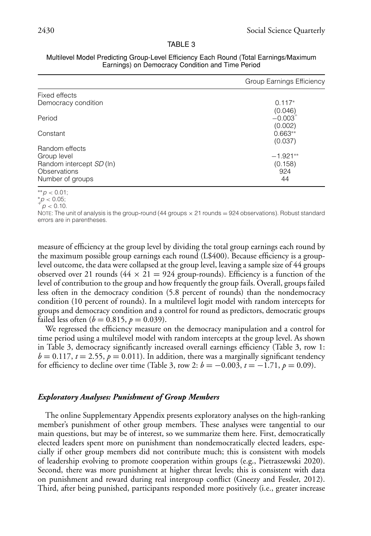#### TABLE 3

|                                                                                               | Group Earnings Efficiency                   |
|-----------------------------------------------------------------------------------------------|---------------------------------------------|
| Fixed effects                                                                                 |                                             |
| Democracy condition                                                                           | $0.117*$                                    |
| Period                                                                                        | (0.046)<br>$-0.003$ <sup>+</sup><br>(0.002) |
| Constant                                                                                      | $0.663**$<br>(0.037)                        |
| Random effects<br>Group level<br>Random intercept SD (In)<br>Observations<br>Number of groups | $-1.921**$<br>(0.158)<br>924<br>44          |

| Multilevel Model Predicting Group-Level Efficiency Each Round (Total Earnings/Maximum |
|---------------------------------------------------------------------------------------|
| Earnings) on Democracy Condition and Time Period                                      |

∗∗*p <* 0.01;

 $^{*}p < 0.05;$ <br> $^{+}p < 0.10.$ 

NOTE: The unit of analysis is the group-round (44 groups  $\times$  21 rounds = 924 observations). Robust standard errors are in parentheses.

measure of efficiency at the group level by dividing the total group earnings each round by the maximum possible group earnings each round (L\$400). Because efficiency is a grouplevel outcome, the data were collapsed at the group level, leaving a sample size of 44 groups observed over 21 rounds ( $44 \times 21 = 924$  group-rounds). Efficiency is a function of the level of contribution to the group and how frequently the group fails. Overall, groups failed less often in the democracy condition (5.8 percent of rounds) than the nondemocracy condition (10 percent of rounds). In a multilevel logit model with random intercepts for groups and democracy condition and a control for round as predictors, democratic groups failed less often ( $b = 0.815$ ,  $p = 0.039$ ).

We regressed the efficiency measure on the democracy manipulation and a control for time period using a multilevel model with random intercepts at the group level. As shown in Table 3, democracy significantly increased overall earnings efficiency (Table 3, row 1:  $b = 0.117$ ,  $t = 2.55$ ,  $p = 0.011$ ). In addition, there was a marginally significant tendency for efficiency to decline over time (Table 3, row 2:  $b = -0.003$ ,  $t = -1.71$ ,  $p = 0.09$ ).

## *Exploratory Analyses: Punishment of Group Members*

The online Supplementary Appendix presents exploratory analyses on the high-ranking member's punishment of other group members. These analyses were tangential to our main questions, but may be of interest, so we summarize them here. First, democratically elected leaders spent more on punishment than nondemocratically elected leaders, especially if other group members did not contribute much; this is consistent with models of leadership evolving to promote cooperation within groups (e.g., Pietraszewski 2020). Second, there was more punishment at higher threat levels; this is consistent with data on punishment and reward during real intergroup conflict (Gneezy and Fessler, 2012). Third, after being punished, participants responded more positively (i.e., greater increase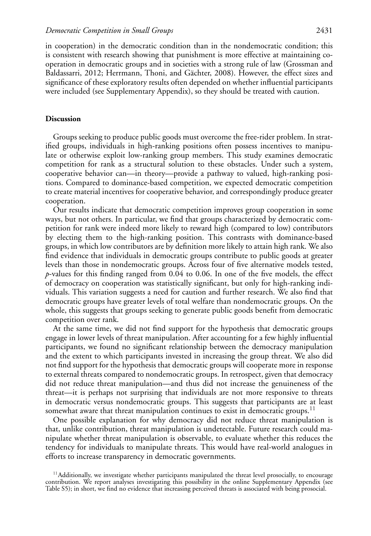in cooperation) in the democratic condition than in the nondemocratic condition; this is consistent with research showing that punishment is more effective at maintaining cooperation in democratic groups and in societies with a strong rule of law (Grossman and Baldassarri, 2012; Herrmann, Thoni, and Gächter, 2008). However, the effect sizes and significance of these exploratory results often depended on whether influential participants were included (see Supplementary Appendix), so they should be treated with caution.

#### **Discussion**

Groups seeking to produce public goods must overcome the free-rider problem. In stratified groups, individuals in high-ranking positions often possess incentives to manipulate or otherwise exploit low-ranking group members. This study examines democratic competition for rank as a structural solution to these obstacles. Under such a system, cooperative behavior can—in theory—provide a pathway to valued, high-ranking positions. Compared to dominance-based competition, we expected democratic competition to create material incentives for cooperative behavior, and correspondingly produce greater cooperation.

Our results indicate that democratic competition improves group cooperation in some ways, but not others. In particular, we find that groups characterized by democratic competition for rank were indeed more likely to reward high (compared to low) contributors by electing them to the high-ranking position. This contrasts with dominance-based groups, in which low contributors are by definition more likely to attain high rank. We also find evidence that individuals in democratic groups contribute to public goods at greater levels than those in nondemocratic groups. Across four of five alternative models tested, *p*-values for this finding ranged from 0.04 to 0.06. In one of the five models, the effect of democracy on cooperation was statistically significant, but only for high-ranking individuals. This variation suggests a need for caution and further research. We also find that democratic groups have greater levels of total welfare than nondemocratic groups. On the whole, this suggests that groups seeking to generate public goods benefit from democratic competition over rank.

At the same time, we did not find support for the hypothesis that democratic groups engage in lower levels of threat manipulation. After accounting for a few highly influential participants, we found no significant relationship between the democracy manipulation and the extent to which participants invested in increasing the group threat. We also did not find support for the hypothesis that democratic groups will cooperate more in response to external threats compared to nondemocratic groups. In retrospect, given that democracy did not reduce threat manipulation—and thus did not increase the genuineness of the threat—it is perhaps not surprising that individuals are not more responsive to threats in democratic versus nondemocratic groups. This suggests that participants are at least somewhat aware that threat manipulation continues to exist in democratic groups.<sup>11</sup>

One possible explanation for why democracy did not reduce threat manipulation is that, unlike contribution, threat manipulation is undetectable. Future research could manipulate whether threat manipulation is observable, to evaluate whether this reduces the tendency for individuals to manipulate threats. This would have real-world analogues in efforts to increase transparency in democratic governments.

 $11$ Additionally, we investigate whether participants manipulated the threat level prosocially, to encourage contribution. We report analyses investigating this possibility in the online Supplementary Appendix (see Table S5); in short, we find no evidence that increasing perceived threats is associated with being prosocial.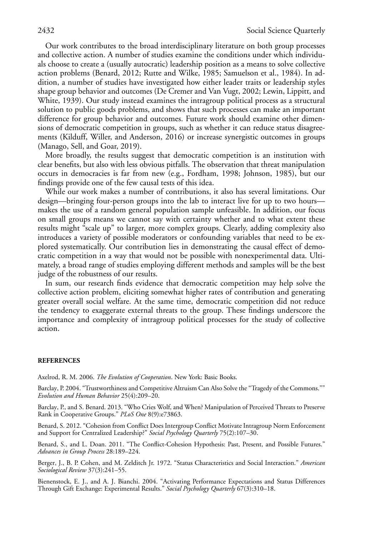Our work contributes to the broad interdisciplinary literature on both group processes and collective action. A number of studies examine the conditions under which individuals choose to create a (usually autocratic) leadership position as a means to solve collective action problems (Benard, 2012; Rutte and Wilke, 1985; Samuelson et al., 1984). In addition, a number of studies have investigated how either leader traits or leadership styles shape group behavior and outcomes (De Cremer and Van Vugt, 2002; Lewin, Lippitt, and White, 1939). Our study instead examines the intragroup political process as a structural solution to public goods problems, and shows that such processes can make an important difference for group behavior and outcomes. Future work should examine other dimensions of democratic competition in groups, such as whether it can reduce status disagreements (Kilduff, Willer, and Anderson, 2016) or increase synergistic outcomes in groups (Manago, Sell, and Goar, 2019).

More broadly, the results suggest that democratic competition is an institution with clear benefits, but also with less obvious pitfalls. The observation that threat manipulation occurs in democracies is far from new (e.g., Fordham, 1998; Johnson, 1985), but our findings provide one of the few causal tests of this idea.

While our work makes a number of contributions, it also has several limitations. Our design—bringing four-person groups into the lab to interact live for up to two hours makes the use of a random general population sample unfeasible. In addition, our focus on small groups means we cannot say with certainty whether and to what extent these results might "scale up" to larger, more complex groups. Clearly, adding complexity also introduces a variety of possible moderators or confounding variables that need to be explored systematically. Our contribution lies in demonstrating the causal effect of democratic competition in a way that would not be possible with nonexperimental data. Ultimately, a broad range of studies employing different methods and samples will be the best judge of the robustness of our results.

In sum, our research finds evidence that democratic competition may help solve the collective action problem, eliciting somewhat higher rates of contribution and generating greater overall social welfare. At the same time, democratic competition did not reduce the tendency to exaggerate external threats to the group. These findings underscore the importance and complexity of intragroup political processes for the study of collective action.

#### **REFERENCES**

Axelrod, R. M. 2006. *The Evolution of Cooperation*. New York: Basic Books.

Barclay, P. 2004. "Trustworthiness and Competitive Altruism Can Also Solve the "Tragedy of the Commons."" *Evolution and Human Behavior* 25(4):209–20.

Barclay, P., and S. Benard. 2013. "Who Cries Wolf, and When? Manipulation of Perceived Threats to Preserve Rank in Cooperative Groups." *PLoS One* 8(9):e73863.

Benard, S. 2012. "Cohesion from Conflict Does Intergroup Conflict Motivate Intragroup Norm Enforcement and Support for Centralized Leadership?" *Social Psychology Quarterly* 75(2):107–30.

Benard, S., and L. Doan. 2011. "The Conflict-Cohesion Hypothesis: Past, Present, and Possible Futures." *Advances in Group Process* 28:189–224.

Berger, J., B. P. Cohen, and M. Zelditch Jr. 1972. "Status Characteristics and Social Interaction." *American Sociological Review* 37(3):241–55.

Bienenstock, E. J., and A. J. Bianchi. 2004. "Activating Performance Expectations and Status Differences Through Gift Exchange: Experimental Results." *Social Psychology Quarterly* 67(3):310–18.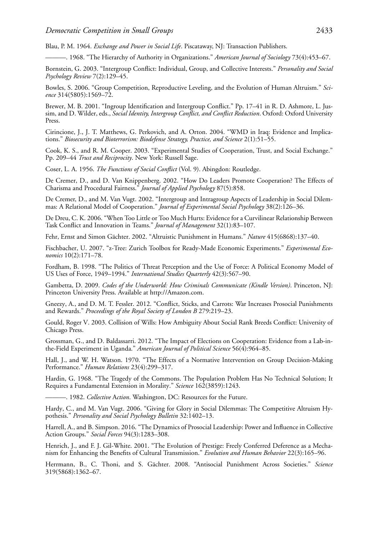Blau, P. M. 1964. *Exchange and Power in Social Life*. Piscataway, NJ: Transaction Publishers.

———. 1968. "The Hierarchy of Authority in Organizations." *American Journal of Sociology* 73(4):453–67.

Bornstein, G. 2003. "Intergroup Conflict: Individual, Group, and Collective Interests." *Personality and Social Psychology Review* 7(2):129–45.

Bowles, S. 2006. "Group Competition, Reproductive Leveling, and the Evolution of Human Altruism." *Science* 314(5805):1569–72.

Brewer, M. B. 2001. "Ingroup Identification and Intergroup Conflict." Pp. 17–41 in R. D. Ashmore, L. Jussim, and D. Wilder, eds., *Social Identity, Intergroup Conflict, and Conflict Reduction*. Oxford: Oxford University Press.

Cirincione, J., J. T. Matthews, G. Perkovich, and A. Orton. 2004. "WMD in Iraq: Evidence and Implications." *Biosecurity and Bioterrorism: Biodefense Strategy, Practice, and Science* 2(1):51–55.

Cook, K. S., and R. M. Cooper. 2003. "Experimental Studies of Cooperation, Trust, and Social Exchange." Pp. 209–44 *Trust and Reciprocity*. New York: Russell Sage.

Coser, L. A. 1956. *The Functions of Social Conflict* (Vol. 9). Abingdon: Routledge.

De Cremer, D., and D. Van Knippenberg. 2002. "How Do Leaders Promote Cooperation? The Effects of Charisma and Procedural Fairness." *Journal of Applied Psychology* 87(5):858.

De Cremer, D., and M. Van Vugt. 2002. "Intergroup and Intragroup Aspects of Leadership in Social Dilemmas: A Relational Model of Cooperation." *Journal of Experimental Social Psychology* 38(2):126–36.

De Dreu, C. K. 2006. "When Too Little or Too Much Hurts: Evidence for a Curvilinear Relationship Between Task Conflict and Innovation in Teams." *Journal of Management* 32(1):83–107.

Fehr, Ernst and Simon Gächter. 2002. "Altruistic Punishment in Humans." *Nature* 415(6868):137–40.

Fischbacher, U. 2007. "z-Tree: Zurich Toolbox for Ready-Made Economic Experiments." *Experimental Economics* 10(2):171–78.

Fordham, B. 1998. "The Politics of Threat Perception and the Use of Force: A Political Economy Model of US Uses of Force, 1949–1994." *International Studies Quarterly* 42(3):567–90.

Gambetta, D. 2009. *Codes of the Underworld: How Criminals Communicate (Kindle Version)*. Princeton, NJ: Princeton University Press. Available at [http://Amazon.com.](http://Amazon.com)

Gneezy, A., and D. M. T. Fessler. 2012. "Conflict, Sticks, and Carrots: War Increases Prosocial Punishments and Rewards." *Proceedings of the Royal Society of London B* 279:219–23.

Gould, Roger V. 2003. Collision of Wills: How Ambiguity About Social Rank Breeds Conflict: University of Chicago Press.

Grossman, G., and D. Baldassarri. 2012. "The Impact of Elections on Cooperation: Evidence from a Lab-inthe-Field Experiment in Uganda." *American Journal of Political Science* 56(4):964–85.

Hall, J., and W. H. Watson. 1970. "The Effects of a Normative Intervention on Group Decision-Making Performance." *Human Relations* 23(4):299–317.

Hardin, G. 1968. "The Tragedy of the Commons. The Population Problem Has No Technical Solution; It Requires a Fundamental Extension in Morality." *Science* 162(3859):1243.

———. 1982. *Collective* A*ction*. Washington, DC: Resources for the Future.

Hardy, C., and M. Van Vugt. 2006. "Giving for Glory in Social Dilemmas: The Competitive Altruism Hypothesis." *Personality and Social Psychology Bulletin* 32:1402–13.

Harrell, A., and B. Simpson. 2016. "The Dynamics of Prosocial Leadership: Power and Influence in Collective Action Groups." *Social Forces* 94(3):1283–308.

Henrich, J., and F. J. Gil-White. 2001. "The Evolution of Prestige: Freely Conferred Deference as a Mechanism for Enhancing the Benefits of Cultural Transmission." *Evolution and Human Behavior* 22(3):165–96.

Herrmann, B., C. Thoni, and S. Gächter. 2008. "Antisocial Punishment Across Societies." *Science* 319(5868):1362–67.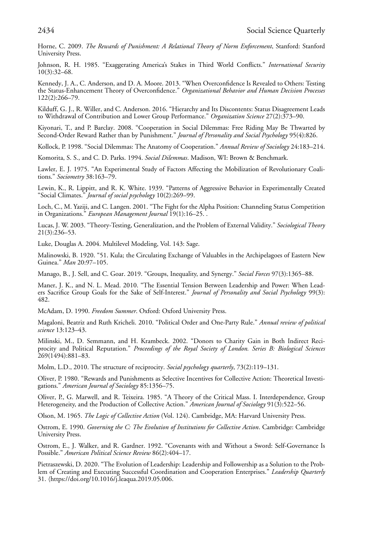Horne, C. 2009. *The Rewards of Punishment: A Relational Theory of Norm Enforcement*, Stanford: Stanford University Press.

Johnson, R. H. 1985. "Exaggerating America's Stakes in Third World Conflicts." *International Security* 10(3):32–68.

Kennedy, J. A., C. Anderson, and D. A. Moore. 2013. "When Overconfidence Is Revealed to Others: Testing the Status-Enhancement Theory of Overconfidence." *Organizational Behavior and Human Decision Processes* 122(2):266–79.

Kilduff, G. J., R. Willer, and C. Anderson. 2016. "Hierarchy and Its Discontents: Status Disagreement Leads to Withdrawal of Contribution and Lower Group Performance." *Organization Science* 27(2):373–90.

Kiyonari, T., and P. Barclay. 2008. "Cooperation in Social Dilemmas: Free Riding May Be Thwarted by Second-Order Reward Rather than by Punishment." *Journal of Personality and Social Psychology* 95(4):826.

Kollock, P. 1998. "Social Dilemmas: The Anatomy of Cooperation." *Annual Review of Sociology* 24:183–214.

Komorita, S. S., and C. D. Parks. 1994. *Social Dilemmas*. Madison, WI: Brown & Benchmark.

Lawler, E. J. 1975. "An Experimental Study of Factors Affecting the Mobilization of Revolutionary Coalitions." *Sociometry* 38:163–79.

Lewin, K., R. Lippitt, and R. K. White. 1939. "Patterns of Aggressive Behavior in Experimentally Created "Social Climates." *Journal of social psychology* 10(2):269–99.

Loch, C., M. Yaziji, and C. Langen. 2001. "The Fight for the Alpha Position: Channeling Status Competition in Organizations." *European Management Journal* 19(1):16–25. .

Lucas, J. W. 2003. "Theory-Testing, Generalization, and the Problem of External Validity." *Sociological Theory* 21(3):236–53.

Luke, Douglas A. 2004. Multilevel Modeling, Vol. 143: Sage.

Malinowski, B. 1920. "51. Kula; the Circulating Exchange of Valuables in the Archipelagoes of Eastern New Guinea." *Man* 20:97–105.

Manago, B., J. Sell, and C. Goar. 2019. "Groups, Inequality, and Synergy." *Social Forces* 97(3):1365–88.

Maner, J. K., and N. L. Mead. 2010. "The Essential Tension Between Leadership and Power: When Leaders Sacrifice Group Goals for the Sake of Self-Interest." *Journal of Personality and Social Psychology* 99(3): 482.

McAdam, D. 1990. *Freedom Summer*. Oxford: Oxford University Press.

Magaloni, Beatriz and Ruth Kricheli. 2010. "Political Order and One-Party Rule." *Annual review of political science* 13:123–43.

Milinski, M., D. Semmann, and H. Krambeck. 2002. "Donors to Charity Gain in Both Indirect Reciprocity and Political Reputation." *Proceedings of the Royal Society of London. Series B: Biological Sciences* 269(1494):881–83.

Molm, L.D., 2010. The structure of reciprocity. *Social psychology quarterly*, 73(2):119–131.

Oliver, P. 1980. "Rewards and Punishments as Selective Incentives for Collective Action: Theoretical Investigations." *American Journal of Sociology* 85:1356–75.

Oliver, P., G. Marwell, and R. Teixeira. 1985. "A Theory of the Critical Mass. I. Interdependence, Group Heterogeneity, and the Production of Collective Action." *American Journal of Sociology* 91(3):522–56.

Olson, M. 1965. *The Logic of Collective Action* (Vol. 124). Cambridge, MA: Harvard University Press.

Ostrom, E. 1990. *Governing the C: The Evolution of Institutions for Collective Action*. Cambridge: Cambridge University Press.

Ostrom, E., J. Walker, and R. Gardner. 1992. "Covenants with and Without a Sword: Self-Governance Is Possible." *American Political Science Review* 86(2):404–17.

Pietraszewski, D. 2020. "The Evolution of Leadership: Leadership and Followership as a Solution to the Problem of Creating and Executing Successful Coordination and Cooperation Enterprises." *Leadership Quarterly* 31. -[https://doi.org/10.1016/j.leaqua.2019.05.006.](https://doi.org/10.1016/j.leaqua.2019.05.006)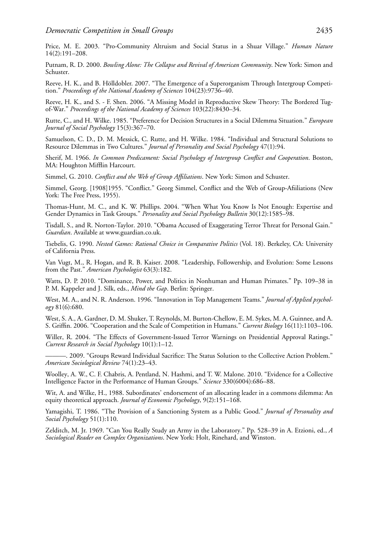Price, M. E. 2003. "Pro-Community Altruism and Social Status in a Shuar Village." *Human Nature* 14(2):191–208.

Putnam, R. D. 2000. *Bowling Alone: The Collapse and Revival of American Community*. New York: Simon and Schuster.

Reeve, H. K., and B. Hölldobler. 2007. "The Emergence of a Superorganism Through Intergroup Competition." *Proceedings of the National Academy of Sciences* 104(23):9736–40.

Reeve, H. K., and S. - F. Shen. 2006. "A Missing Model in Reproductive Skew Theory: The Bordered Tugof-War." *Proceedings of the National Academy of Sciences* 103(22):8430–34.

Rutte, C., and H. Wilke. 1985. "Preference for Decision Structures in a Social Dilemma Situation." *European Journal of Social Psychology* 15(3):367–70.

Samuelson, C. D., D. M. Messick, C. Rutte, and H. Wilke. 1984. "Individual and Structural Solutions to Resource Dilemmas in Two Cultures." *Journal of Personality and Social Psychology* 47(1):94.

Sherif, M. 1966. *In Common Predicament: Social Psychology of Intergroup Conflict and Cooperation*. Boston, MA: Houghton Mifflin Harcourt.

Simmel, G. 2010. *Conflict and the Web of Group Affiliations*. New York: Simon and Schuster.

Simmel, Georg. [1908]1955. "Conflict." Georg Simmel, Conflict and the Web of Group-Afiiliations (New York: The Free Press, 1955).

Thomas-Hunt, M. C., and K. W. Phillips. 2004. "When What You Know Is Not Enough: Expertise and Gender Dynamics in Task Groups." *Personality and Social Psychology Bulletin* 30(12):1585–98.

Tisdall, S., and R. Norton-Taylor. 2010. "Obama Accused of Exaggerating Terror Threat for Personal Gain." *Guardian*. Available at [www.guardian.co.uk.](http://www.guardian.co.uk)

Tsebelis, G. 1990. *Nested Games: Rational Choice in Comparative Politics* (Vol. 18). Berkeley, CA: University of California Press.

Van Vugt, M., R. Hogan, and R. B. Kaiser. 2008. "Leadership, Followership, and Evolution: Some Lessons from the Past." *American Psychologist* 63(3):182.

Watts, D. P. 2010. "Dominance, Power, and Politics in Nonhuman and Human Primates." Pp. 109-38 in P. M. Kappeler and J. Silk, eds., *Mind the Gap*. Berlin: Springer.

West, M. A., and N. R. Anderson. 1996. "Innovation in Top Management Teams." *Journal of Applied psychology* 81(6):680.

West, S. A., A. Gardner, D. M. Shuker, T. Reynolds, M. Burton-Chellow, E. M. Sykes, M. A. Guinnee, and A. S. Griffin. 2006. "Cooperation and the Scale of Competition in Humans." *Current Biology* 16(11):1103–106.

Willer, R. 2004. "The Effects of Government-Issued Terror Warnings on Presidential Approval Ratings." *Current Research in Social Psychology* 10(1):1–12.

———. 2009. "Groups Reward Individual Sacrifice: The Status Solution to the Collective Action Problem." *American Sociological Review* 74(1):23–43.

Woolley, A. W., C. F. Chabris, A. Pentland, N. Hashmi, and T. W. Malone. 2010. "Evidence for a Collective Intelligence Factor in the Performance of Human Groups." *Science* 330(6004):686–88.

Wit, A. and Wilke, H., 1988. Subordinates' endorsement of an allocating leader in a commons dilemma: An equity theoretical approach. *Journal of Economic Psychology*, 9(2):151–168.

Yamagishi, T. 1986. "The Provision of a Sanctioning System as a Public Good." *Journal of Personality and Social Psychology* 51(1):110.

Zelditch, M. Jr. 1969. "Can You Really Study an Army in the Laboratory." Pp. 528–39 in A. Etzioni, ed., *A Sociological Reader on Complex Organizations*. New York: Holt, Rinehard, and Winston.